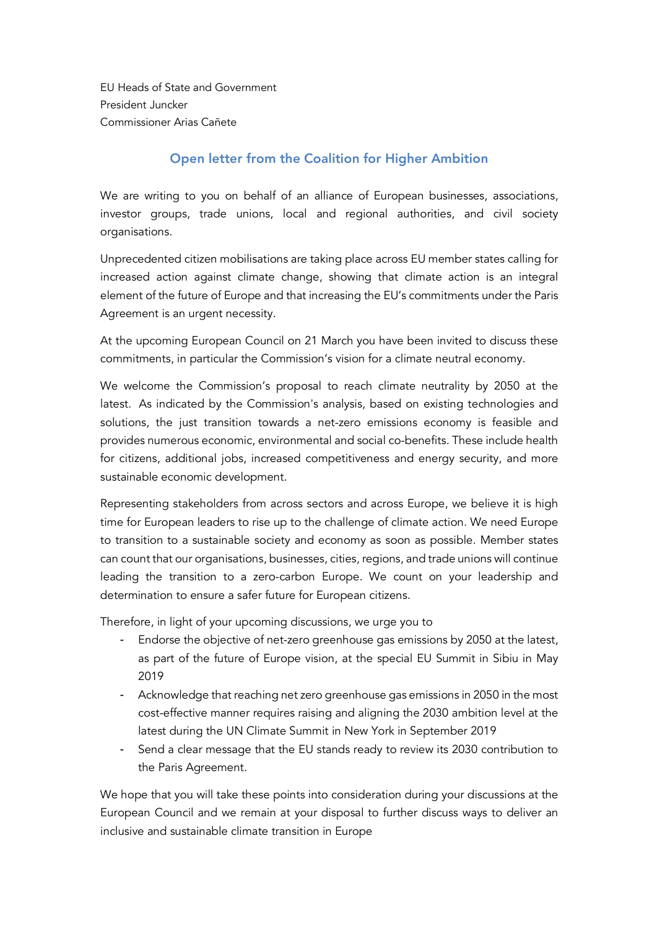EU Heads of State and Government President Juncker Commissioner Arias Cañete

## Open letter from the Coalition for Higher Ambition

We are writing to you on behalf of an alliance of European businesses, associations, investor groups, trade unions, local and regional authorities, and civil society organisations.

Unprecedented citizen mobilisations are taking place across EU member states calling for increased action against climate change, showing that climate action is an integral element of the future of Europe and that increasing the EU's commitments under the Paris Agreement is an urgent necessity.

At the upcoming European Council on 21 March you have been invited to discuss these commitments, in particular the Commission's vision for a climate neutral economy.

We welcome the Commission's proposal to reach climate neutrality by 2050 at the latest. As indicated by the Commission's analysis, based on existing technologies and solutions, the just transition towards a net-zero emissions economy is feasible and provides numerous economic, environmental and social co-benefits. These include health for citizens, additional jobs, increased competitiveness and energy security, and more sustainable economic development.

Representing stakeholders from across sectors and across Europe, we believe it is high time for European leaders to rise up to the challenge of climate action. We need Europe to transition to a sustainable society and economy as soon as possible. Member states can count that our organisations, businesses, cities, regions, and trade unions will continue leading the transition to a zero-carbon Europe. We count on your leadership and determination to ensure a safer future for European citizens.

Therefore, in light of your upcoming discussions, we urge you to

- Endorse the objective of net-zero greenhouse gas emissions by 2050 at the latest, as part of the future of Europe vision, at the special EU Summit in Sibiu in May 2019
- Acknowledge that reaching net zero greenhouse gas emissions in 2050 in the most cost-effective manner requires raising and aligning the 2030 ambition level at the latest during the UN Climate Summit in New York in September 2019
- Send a clear message that the EU stands ready to review its 2030 contribution to the Paris Agreement.

We hope that you will take these points into consideration during your discussions at the European Council and we remain at your disposal to further discuss ways to deliver an inclusive and sustainable climate transition in Europe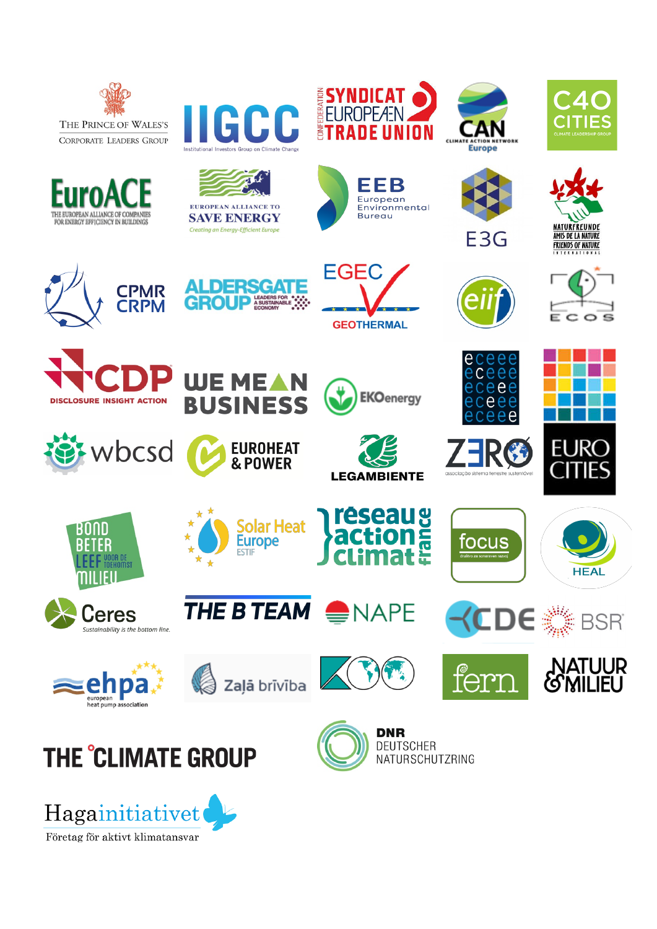

THE EUROPEAN ALLIANCE OF COMPANIES

FOR ENERGY EFFICIENCY IN BUILDINGS

**DISCLOSURE INSIGHT ACTION** 

BOND

**BETER** 

**EEF** VOOR DE

Ceres

Sustainability is the bottom line.

nii ifu

wbcsd

**CPMR CRPM** 



**EGEC** 

**GEOTHERMAL** 

**EKO**energy

**LEGAMBIENTE** 

**réseau aux<br>action E** 







**DERSGAT** 

**WEMEAN** 

**BUSINESS** 

 $\star$  $\star$ 

 $\rightarrow$ 

 $\bigstar$ 

 $\frac{1}{2}$ 

**EUROHEAT** 

**Solar Heat** 

THE BTEAM NAPE

**Europe** 

**ESTIF** 

& POWER



















focus

 $\Delta$ 























NATURSCHUTZRING